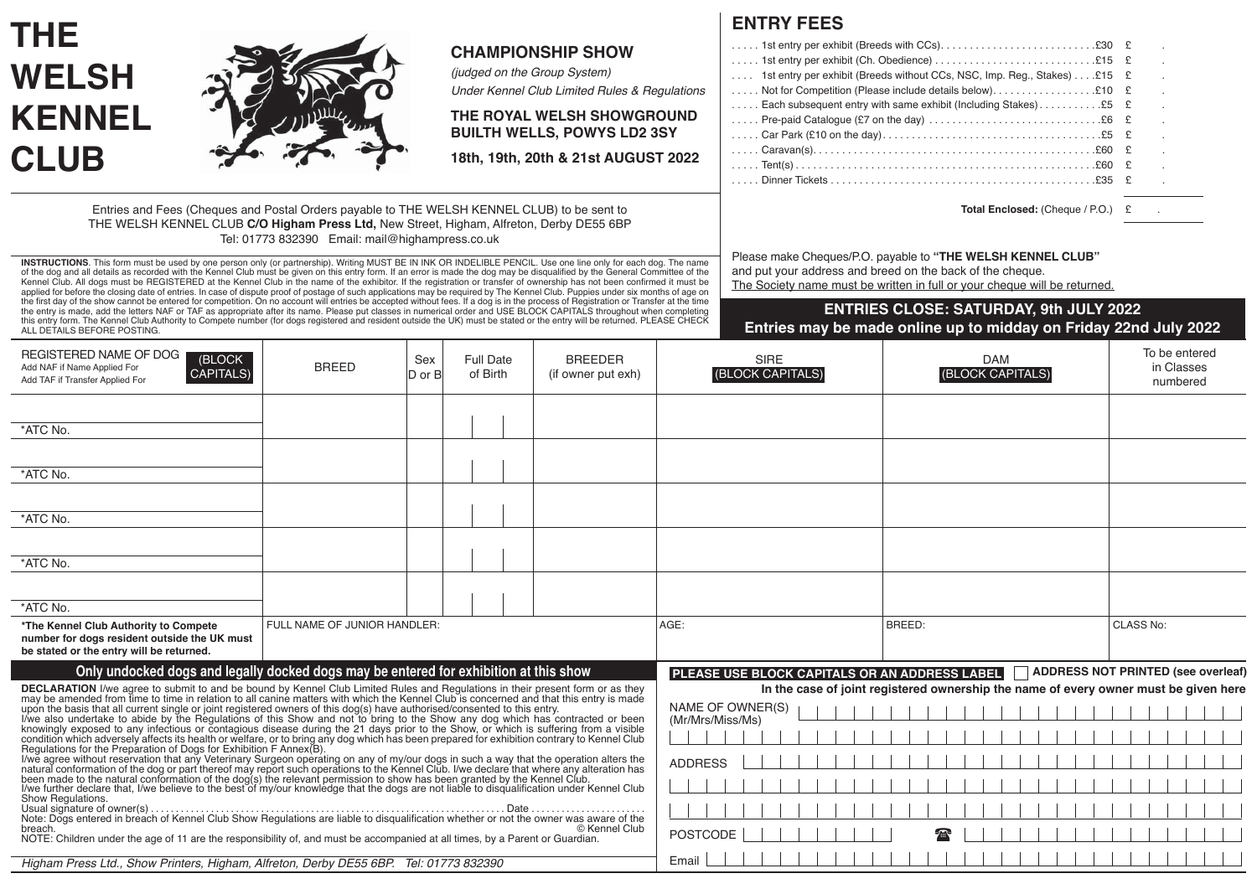|                                                                                                                                                                                                                                                                                                                                                                                                                                                                                                                                                                                                                                                                                                                                                                                                                                                                                                        |                              |                |                                                                  |                                                                           |                | <b>ENTRY FEES</b>                                                                                                                                                                                     |                                                                                                                   |                                           |  |  |
|--------------------------------------------------------------------------------------------------------------------------------------------------------------------------------------------------------------------------------------------------------------------------------------------------------------------------------------------------------------------------------------------------------------------------------------------------------------------------------------------------------------------------------------------------------------------------------------------------------------------------------------------------------------------------------------------------------------------------------------------------------------------------------------------------------------------------------------------------------------------------------------------------------|------------------------------|----------------|------------------------------------------------------------------|---------------------------------------------------------------------------|----------------|-------------------------------------------------------------------------------------------------------------------------------------------------------------------------------------------------------|-------------------------------------------------------------------------------------------------------------------|-------------------------------------------|--|--|
| <b>THE</b><br><b>WELSH</b>                                                                                                                                                                                                                                                                                                                                                                                                                                                                                                                                                                                                                                                                                                                                                                                                                                                                             |                              |                | (judged on the Group System)                                     | <b>CHAMPIONSHIP SHOW</b><br>Under Kennel Club Limited Rules & Regulations |                | 1st entry per exhibit (Breeds without CCs, NSC, Imp. Reg., Stakes) $£15 \tE$<br>Each subsequent entry with same exhibit (Including Stakes) £5                                                         |                                                                                                                   |                                           |  |  |
| <b>KENNEL</b>                                                                                                                                                                                                                                                                                                                                                                                                                                                                                                                                                                                                                                                                                                                                                                                                                                                                                          |                              |                | THE ROYAL WELSH SHOWGROUND<br><b>BUILTH WELLS, POWYS LD2 3SY</b> |                                                                           |                |                                                                                                                                                                                                       |                                                                                                                   |                                           |  |  |
| <b>CLUB</b>                                                                                                                                                                                                                                                                                                                                                                                                                                                                                                                                                                                                                                                                                                                                                                                                                                                                                            |                              |                |                                                                  | 18th, 19th, 20th & 21st AUGUST 2022                                       |                |                                                                                                                                                                                                       |                                                                                                                   |                                           |  |  |
| Entries and Fees (Cheques and Postal Orders payable to THE WELSH KENNEL CLUB) to be sent to<br>THE WELSH KENNEL CLUB C/O Higham Press Ltd, New Street, Higham, Alfreton, Derby DE55 6BP<br>Tel: 01773 832390 Email: mail@highampress.co.uk                                                                                                                                                                                                                                                                                                                                                                                                                                                                                                                                                                                                                                                             |                              |                |                                                                  |                                                                           |                | Total Enclosed: (Cheque / P.O.) £                                                                                                                                                                     |                                                                                                                   |                                           |  |  |
| INSTRUCTIONS. This form must be used by one person only (or partnership). Writing MUST BE IN INK OR INDELIBLE PENCIL. Use one line only for each dog. The name<br>of the dog and all details as recorded with the Kennel Club must be given on this entry form. If an error is made the dog may be disqualified by the General Committee of the<br>Kennel Club. All dogs must be REGISTERED at the Kennel Club in the name of the exhibitor. If the registration or transfer of ownership has not been confirmed it must be<br>applied for before the closing date of entries. In case of dispute proof of postage of such applications may be required by The Kennel Club. Puppies under six months of age on<br>the first day of the show cannot be entered for competition. On no account will entries be accepted without fees. If a dog is in the process of Registration or Transfer at the time |                              |                |                                                                  |                                                                           |                | Please make Cheques/P.O. payable to "THE WELSH KENNEL CLUB"<br>and put your address and breed on the back of the cheque.<br>The Society name must be written in full or your cheque will be returned. |                                                                                                                   |                                           |  |  |
| the entry is made, add the letters NAF or TAF as appropriate after its name. Please put classes in numerical order and USE BLOCK CAPITALS throughout when completing<br>this entry form. The Kennel Club Authority to Compete number (for dogs registered and resident outside the UK) must be stated or the entry will be returned. PLEASE CHECK<br>ALL DETAILS BEFORE POSTING.                                                                                                                                                                                                                                                                                                                                                                                                                                                                                                                       |                              |                |                                                                  |                                                                           |                |                                                                                                                                                                                                       | <b>ENTRIES CLOSE: SATURDAY, 9th JULY 2022</b><br>Entries may be made online up to midday on Friday 22nd July 2022 |                                           |  |  |
| REGISTERED NAME OF DOG<br>(BLOCK<br>Add NAF if Name Applied For<br><b>CAPITALS)</b><br>Add TAF if Transfer Applied For                                                                                                                                                                                                                                                                                                                                                                                                                                                                                                                                                                                                                                                                                                                                                                                 | <b>BREED</b>                 | Sex<br>D or Bl | <b>Full Date</b><br>of Birth                                     | <b>BREEDER</b><br>(if owner put exh)                                      |                | <b>SIRE</b><br>(BLOCK CAPITALS)                                                                                                                                                                       | <b>DAM</b><br>(BLOCK CAPITALS)                                                                                    | To be entered<br>in Classes<br>numbered   |  |  |
| *ATC No.                                                                                                                                                                                                                                                                                                                                                                                                                                                                                                                                                                                                                                                                                                                                                                                                                                                                                               |                              |                |                                                                  |                                                                           |                |                                                                                                                                                                                                       |                                                                                                                   |                                           |  |  |
| *ATC No.                                                                                                                                                                                                                                                                                                                                                                                                                                                                                                                                                                                                                                                                                                                                                                                                                                                                                               |                              |                |                                                                  |                                                                           |                |                                                                                                                                                                                                       |                                                                                                                   |                                           |  |  |
| *ATC No.                                                                                                                                                                                                                                                                                                                                                                                                                                                                                                                                                                                                                                                                                                                                                                                                                                                                                               |                              |                |                                                                  |                                                                           |                |                                                                                                                                                                                                       |                                                                                                                   |                                           |  |  |
| *ATC No.                                                                                                                                                                                                                                                                                                                                                                                                                                                                                                                                                                                                                                                                                                                                                                                                                                                                                               |                              |                |                                                                  |                                                                           |                |                                                                                                                                                                                                       |                                                                                                                   |                                           |  |  |
| *ATC No.                                                                                                                                                                                                                                                                                                                                                                                                                                                                                                                                                                                                                                                                                                                                                                                                                                                                                               |                              |                |                                                                  |                                                                           |                |                                                                                                                                                                                                       |                                                                                                                   |                                           |  |  |
| *The Kennel Club Authority to Compete<br>number for dogs resident outside the UK must<br>be stated or the entry will be returned.                                                                                                                                                                                                                                                                                                                                                                                                                                                                                                                                                                                                                                                                                                                                                                      | FULL NAME OF JUNIOR HANDLER: |                |                                                                  |                                                                           | AGE:           |                                                                                                                                                                                                       | BREED:                                                                                                            | <b>CLASS No:</b>                          |  |  |
| Only undocked dogs and legally docked dogs may be entered for exhibition at this show                                                                                                                                                                                                                                                                                                                                                                                                                                                                                                                                                                                                                                                                                                                                                                                                                  |                              |                |                                                                  |                                                                           |                | PLEASE USE BLOCK CAPITALS OR AN ADDRESS LABEL                                                                                                                                                         | In the case of joint registered ownership the name of every owner must be given here                              | <b>ADDRESS NOT PRINTED (see overleaf)</b> |  |  |
| DECLARATION I/we agre to submit to and be bound by Kennel Club Limited Rules and Regulations in their present form or as they may be amended from time to time in relation to all canine matters with which the Kennel Club is                                                                                                                                                                                                                                                                                                                                                                                                                                                                                                                                                                                                                                                                         |                              |                |                                                                  |                                                                           |                | NAME OF OWNER(S)<br>(Mr/Mrs/Miss/Ms)                                                                                                                                                                  |                                                                                                                   |                                           |  |  |
| Show Regulations.<br>© Kennel Club<br>breach.<br>NOTE: Children under the age of 11 are the responsibility of, and must be accompanied at all times, by a Parent or Guardian.<br>Higham Press Ltd., Show Printers, Higham, Alfreton, Derby DE55 6BP. Tel: 01773 832390                                                                                                                                                                                                                                                                                                                                                                                                                                                                                                                                                                                                                                 |                              |                |                                                                  |                                                                           | <b>ADDRESS</b> |                                                                                                                                                                                                       |                                                                                                                   |                                           |  |  |
|                                                                                                                                                                                                                                                                                                                                                                                                                                                                                                                                                                                                                                                                                                                                                                                                                                                                                                        |                              |                |                                                                  |                                                                           |                |                                                                                                                                                                                                       |                                                                                                                   |                                           |  |  |
|                                                                                                                                                                                                                                                                                                                                                                                                                                                                                                                                                                                                                                                                                                                                                                                                                                                                                                        |                              |                |                                                                  | <b>POSTCODE</b><br>Email                                                  |                |                                                                                                                                                                                                       |                                                                                                                   |                                           |  |  |
|                                                                                                                                                                                                                                                                                                                                                                                                                                                                                                                                                                                                                                                                                                                                                                                                                                                                                                        |                              |                |                                                                  |                                                                           |                |                                                                                                                                                                                                       |                                                                                                                   |                                           |  |  |